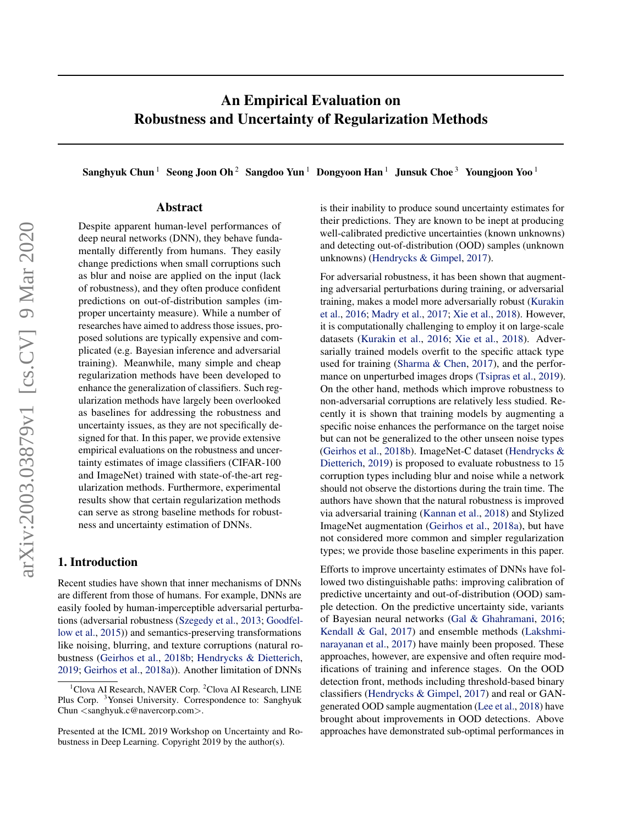# An Empirical Evaluation on Robustness and Uncertainty of Regularization Methods

Sanghyuk Chun<sup>1</sup> Seong Joon Oh<sup>2</sup> Sangdoo Yun<sup>1</sup> Dongyoon Han<sup>1</sup> Junsuk Choe<sup>3</sup> Youngjoon Yoo<sup>1</sup>

#### Abstract

Despite apparent human-level performances of deep neural networks (DNN), they behave fundamentally differently from humans. They easily change predictions when small corruptions such as blur and noise are applied on the input (lack of robustness), and they often produce confident predictions on out-of-distribution samples (improper uncertainty measure). While a number of researches have aimed to address those issues, proposed solutions are typically expensive and complicated (e.g. Bayesian inference and adversarial training). Meanwhile, many simple and cheap regularization methods have been developed to enhance the generalization of classifiers. Such regularization methods have largely been overlooked as baselines for addressing the robustness and uncertainty issues, as they are not specifically designed for that. In this paper, we provide extensive empirical evaluations on the robustness and uncertainty estimates of image classifiers (CIFAR-100 and ImageNet) trained with state-of-the-art regularization methods. Furthermore, experimental results show that certain regularization methods can serve as strong baseline methods for robustness and uncertainty estimation of DNNs.

### 1. Introduction

Recent studies have shown that inner mechanisms of DNNs are different from those of humans. For example, DNNs are easily fooled by human-imperceptible adversarial perturbations (adversarial robustness [\(Szegedy et al.,](#page-6-0) [2013;](#page-6-0) [Goodfel](#page-5-0)[low et al.,](#page-5-0) [2015\)](#page-5-0)) and semantics-preserving transformations like noising, blurring, and texture corruptions (natural robustness [\(Geirhos et al.,](#page-5-0) [2018b;](#page-5-0) [Hendrycks & Dietterich,](#page-5-0) [2019;](#page-5-0) [Geirhos et al.,](#page-5-0) [2018a\)](#page-5-0)). Another limitation of DNNs

is their inability to produce sound uncertainty estimates for their predictions. They are known to be inept at producing well-calibrated predictive uncertainties (known unknowns) and detecting out-of-distribution (OOD) samples (unknown unknowns) [\(Hendrycks & Gimpel,](#page-5-0) [2017\)](#page-5-0).

For adversarial robustness, it has been shown that augmenting adversarial perturbations during training, or adversarial training, makes a model more adversarially robust [\(Kurakin](#page-6-0) [et al.,](#page-6-0) [2016;](#page-6-0) [Madry et al.,](#page-6-0) [2017;](#page-6-0) [Xie et al.,](#page-6-0) [2018\)](#page-6-0). However, it is computationally challenging to employ it on large-scale datasets [\(Kurakin et al.,](#page-6-0) [2016;](#page-6-0) [Xie et al.,](#page-6-0) [2018\)](#page-6-0). Adversarially trained models overfit to the specific attack type used for training [\(Sharma & Chen,](#page-6-0) [2017\)](#page-6-0), and the performance on unperturbed images drops [\(Tsipras et al.,](#page-6-0) [2019\)](#page-6-0). On the other hand, methods which improve robustness to non-adversarial corruptions are relatively less studied. Recently it is shown that training models by augmenting a specific noise enhances the performance on the target noise but can not be generalized to the other unseen noise types [\(Geirhos et al.,](#page-5-0) [2018b\)](#page-5-0). ImageNet-C dataset [\(Hendrycks &](#page-5-0) [Dietterich,](#page-5-0) [2019\)](#page-5-0) is proposed to evaluate robustness to 15 corruption types including blur and noise while a network should not observe the distortions during the train time. The authors have shown that the natural robustness is improved via adversarial training [\(Kannan et al.,](#page-5-0) [2018\)](#page-5-0) and Stylized ImageNet augmentation [\(Geirhos et al.,](#page-5-0) [2018a\)](#page-5-0), but have not considered more common and simpler regularization types; we provide those baseline experiments in this paper.

Efforts to improve uncertainty estimates of DNNs have followed two distinguishable paths: improving calibration of predictive uncertainty and out-of-distribution (OOD) sample detection. On the predictive uncertainty side, variants of Bayesian neural networks [\(Gal & Ghahramani,](#page-5-0) [2016;](#page-5-0) [Kendall & Gal,](#page-5-0) [2017\)](#page-5-0) and ensemble methods [\(Lakshmi](#page-6-0)[narayanan et al.,](#page-6-0) [2017\)](#page-6-0) have mainly been proposed. These approaches, however, are expensive and often require modifications of training and inference stages. On the OOD detection front, methods including threshold-based binary classifiers [\(Hendrycks & Gimpel,](#page-5-0) [2017\)](#page-5-0) and real or GANgenerated OOD sample augmentation [\(Lee et al.,](#page-6-0) [2018\)](#page-6-0) have brought about improvements in OOD detections. Above approaches have demonstrated sub-optimal performances in

 $1$ Clova AI Research, NAVER Corp.  $2$ Clova AI Research, LINE Plus Corp. <sup>3</sup>Yonsei University. Correspondence to: Sanghyuk Chun <sanghyuk.c@navercorp.com>.

Presented at the ICML 2019 Workshop on Uncertainty and Robustness in Deep Learning. Copyright 2019 by the author(s).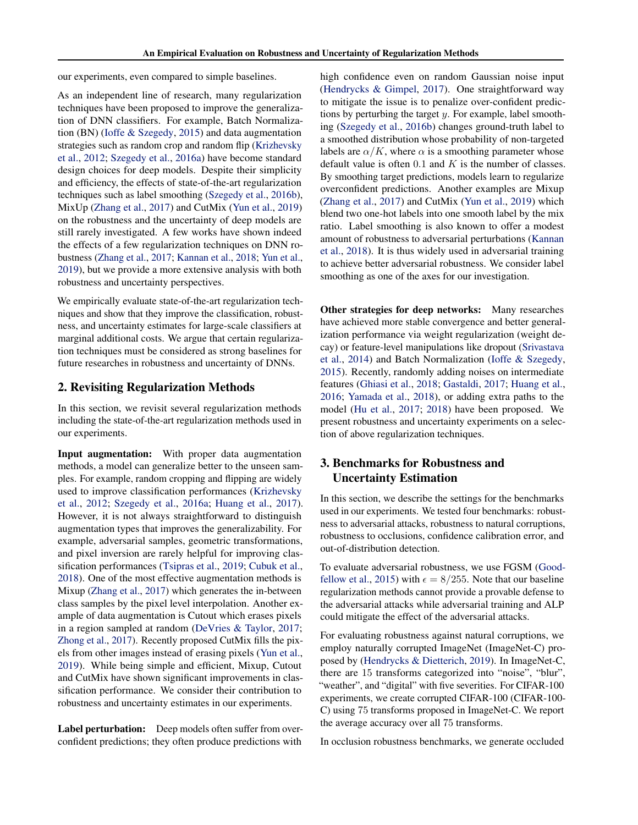our experiments, even compared to simple baselines.

As an independent line of research, many regularization techniques have been proposed to improve the generalization of DNN classifiers. For example, Batch Normalization (BN) [\(Ioffe & Szegedy,](#page-5-0) [2015\)](#page-5-0) and data augmentation strategies such as random crop and random flip [\(Krizhevsky](#page-6-0) [et al.,](#page-6-0) [2012;](#page-6-0) [Szegedy et al.,](#page-6-0) [2016a\)](#page-6-0) have become standard design choices for deep models. Despite their simplicity and efficiency, the effects of state-of-the-art regularization techniques such as label smoothing [\(Szegedy et al.,](#page-6-0) [2016b\)](#page-6-0), MixUp [\(Zhang et al.,](#page-6-0) [2017\)](#page-6-0) and CutMix [\(Yun et al.,](#page-6-0) [2019\)](#page-6-0) on the robustness and the uncertainty of deep models are still rarely investigated. A few works have shown indeed the effects of a few regularization techniques on DNN robustness [\(Zhang et al.,](#page-6-0) [2017;](#page-6-0) [Kannan et al.,](#page-5-0) [2018;](#page-5-0) [Yun et al.,](#page-6-0) [2019\)](#page-6-0), but we provide a more extensive analysis with both robustness and uncertainty perspectives.

We empirically evaluate state-of-the-art regularization techniques and show that they improve the classification, robustness, and uncertainty estimates for large-scale classifiers at marginal additional costs. We argue that certain regularization techniques must be considered as strong baselines for future researches in robustness and uncertainty of DNNs.

## 2. Revisiting Regularization Methods

In this section, we revisit several regularization methods including the state-of-the-art regularization methods used in our experiments.

Input augmentation: With proper data augmentation methods, a model can generalize better to the unseen samples. For example, random cropping and flipping are widely used to improve classification performances [\(Krizhevsky](#page-6-0) [et al.,](#page-6-0) [2012;](#page-6-0) [Szegedy et al.,](#page-6-0) [2016a;](#page-6-0) [Huang et al.,](#page-5-0) [2017\)](#page-5-0). However, it is not always straightforward to distinguish augmentation types that improves the generalizability. For example, adversarial samples, geometric transformations, and pixel inversion are rarely helpful for improving classification performances [\(Tsipras et al.,](#page-6-0) [2019;](#page-6-0) [Cubuk et al.,](#page-5-0) [2018\)](#page-5-0). One of the most effective augmentation methods is Mixup [\(Zhang et al.,](#page-6-0) [2017\)](#page-6-0) which generates the in-between class samples by the pixel level interpolation. Another example of data augmentation is Cutout which erases pixels in a region sampled at random [\(DeVries & Taylor,](#page-5-0) [2017;](#page-5-0) [Zhong et al.,](#page-6-0) [2017\)](#page-6-0). Recently proposed CutMix fills the pixels from other images instead of erasing pixels [\(Yun et al.,](#page-6-0) [2019\)](#page-6-0). While being simple and efficient, Mixup, Cutout and CutMix have shown significant improvements in classification performance. We consider their contribution to robustness and uncertainty estimates in our experiments.

Label perturbation: Deep models often suffer from overconfident predictions; they often produce predictions with

high confidence even on random Gaussian noise input [\(Hendrycks & Gimpel,](#page-5-0) [2017\)](#page-5-0). One straightforward way to mitigate the issue is to penalize over-confident predictions by perturbing the target  $y$ . For example, label smoothing [\(Szegedy et al.,](#page-6-0) [2016b\)](#page-6-0) changes ground-truth label to a smoothed distribution whose probability of non-targeted labels are  $\alpha/K$ , where  $\alpha$  is a smoothing parameter whose default value is often  $0.1$  and  $K$  is the number of classes. By smoothing target predictions, models learn to regularize overconfident predictions. Another examples are Mixup [\(Zhang et al.,](#page-6-0) [2017\)](#page-6-0) and CutMix [\(Yun et al.,](#page-6-0) [2019\)](#page-6-0) which blend two one-hot labels into one smooth label by the mix ratio. Label smoothing is also known to offer a modest amount of robustness to adversarial perturbations [\(Kannan](#page-5-0) [et al.,](#page-5-0) [2018\)](#page-5-0). It is thus widely used in adversarial training to achieve better adversarial robustness. We consider label smoothing as one of the axes for our investigation.

Other strategies for deep networks: Many researches have achieved more stable convergence and better generalization performance via weight regularization (weight decay) or feature-level manipulations like dropout [\(Srivastava](#page-6-0) [et al.,](#page-6-0) [2014\)](#page-6-0) and Batch Normalization [\(Ioffe & Szegedy,](#page-5-0) [2015\)](#page-5-0). Recently, randomly adding noises on intermediate features [\(Ghiasi et al.,](#page-5-0) [2018;](#page-5-0) [Gastaldi,](#page-5-0) [2017;](#page-5-0) [Huang et al.,](#page-5-0) [2016;](#page-5-0) [Yamada et al.,](#page-6-0) [2018\)](#page-6-0), or adding extra paths to the model [\(Hu et al.,](#page-5-0) [2017;](#page-5-0) [2018\)](#page-5-0) have been proposed. We present robustness and uncertainty experiments on a selection of above regularization techniques.

# 3. Benchmarks for Robustness and Uncertainty Estimation

In this section, we describe the settings for the benchmarks used in our experiments. We tested four benchmarks: robustness to adversarial attacks, robustness to natural corruptions, robustness to occlusions, confidence calibration error, and out-of-distribution detection.

To evaluate adversarial robustness, we use FGSM [\(Good](#page-5-0)[fellow et al.,](#page-5-0) [2015\)](#page-5-0) with  $\epsilon = 8/255$ . Note that our baseline regularization methods cannot provide a provable defense to the adversarial attacks while adversarial training and ALP could mitigate the effect of the adversarial attacks.

For evaluating robustness against natural corruptions, we employ naturally corrupted ImageNet (ImageNet-C) proposed by [\(Hendrycks & Dietterich,](#page-5-0) [2019\)](#page-5-0). In ImageNet-C, there are 15 transforms categorized into "noise", "blur", "weather", and "digital" with five severities. For CIFAR-100 experiments, we create corrupted CIFAR-100 (CIFAR-100- C) using 75 transforms proposed in ImageNet-C. We report the average accuracy over all 75 transforms.

In occlusion robustness benchmarks, we generate occluded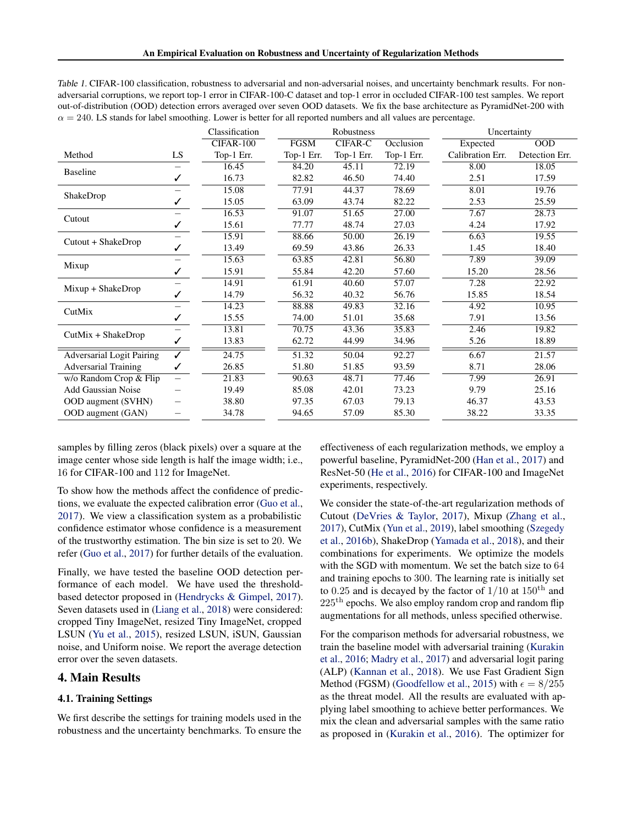<span id="page-2-0"></span>

| Table 1. CIFAR-100 classification, robustness to adversarial and non-adversarial noises, and uncertainty benchmark results. For non- |
|--------------------------------------------------------------------------------------------------------------------------------------|
| adversarial corruptions, we report top-1 error in CIFAR-100-C dataset and top-1 error in occluded CIFAR-100 test samples. We report  |
| out-of-distribution (OOD) detection errors averaged over seven OOD datasets. We fix the base architecture as PyramidNet-200 with     |
| $\alpha = 240$ . LS stands for label smoothing. Lower is better for all reported numbers and all values are percentage.              |

|                                  |                          | Classification   |             | Robustness     |            | Uncertainty      |                |
|----------------------------------|--------------------------|------------------|-------------|----------------|------------|------------------|----------------|
|                                  |                          | <b>CIFAR-100</b> | <b>FGSM</b> | <b>CIFAR-C</b> | Occlusion  | Expected         | <b>OOD</b>     |
| Method                           | LS                       | Top-1 Err.       | Top-1 Err.  | Top-1 Err.     | Top-1 Err. | Calibration Err. | Detection Err. |
| Baseline                         |                          | 16.45            | 84.20       | 45.11          | 72.19      | 8.00             | 18.05          |
|                                  |                          | 16.73            | 82.82       | 46.50          | 74.40      | 2.51             | 17.59          |
| ShakeDrop                        |                          | 15.08            | 77.91       | 44.37          | 78.69      | 8.01             | 19.76          |
|                                  |                          | 15.05            | 63.09       | 43.74          | 82.22      | 2.53             | 25.59          |
| Cutout                           |                          | 16.53            | 91.07       | 51.65          | 27.00      | 7.67             | 28.73          |
|                                  |                          | 15.61            | 77.77       | 48.74          | 27.03      | 4.24             | 17.92          |
| Cutout + ShakeDrop               |                          | 15.91            | 88.66       | 50.00          | 26.19      | 6.63             | 19.55          |
|                                  |                          | 13.49            | 69.59       | 43.86          | 26.33      | 1.45             | 18.40          |
| Mixup                            |                          | 15.63            | 63.85       | 42.81          | 56.80      | 7.89             | 39.09          |
|                                  |                          | 15.91            | 55.84       | 42.20          | 57.60      | 15.20            | 28.56          |
| $Mixup + ShakespeareDrop$        |                          | 14.91            | 61.91       | 40.60          | 57.07      | 7.28             | 22.92          |
|                                  |                          | 14.79            | 56.32       | 40.32          | 56.76      | 15.85            | 18.54          |
| CutMix                           |                          | 14.23            | 88.88       | 49.83          | 32.16      | 4.92             | 10.95          |
|                                  |                          | 15.55            | 74.00       | 51.01          | 35.68      | 7.91             | 13.56          |
| CutMix + ShakeDrop               |                          | 13.81            | 70.75       | 43.36          | 35.83      | 2.46             | 19.82          |
|                                  |                          | 13.83            | 62.72       | 44.99          | 34.96      | 5.26             | 18.89          |
| <b>Adversarial Logit Pairing</b> | $\checkmark$             | 24.75            | 51.32       | 50.04          | 92.27      | 6.67             | 21.57          |
| <b>Adversarial Training</b>      |                          | 26.85            | 51.80       | 51.85          | 93.59      | 8.71             | 28.06          |
| w/o Random Crop & Flip           | $\overline{\phantom{0}}$ | 21.83            | 90.63       | 48.71          | 77.46      | 7.99             | 26.91          |
| <b>Add Gaussian Noise</b>        |                          | 19.49            | 85.08       | 42.01          | 73.23      | 9.79             | 25.16          |
| <b>OOD</b> augment (SVHN)        |                          | 38.80            | 97.35       | 67.03          | 79.13      | 46.37            | 43.53          |
| OOD augment (GAN)                |                          | 34.78            | 94.65       | 57.09          | 85.30      | 38.22            | 33.35          |

samples by filling zeros (black pixels) over a square at the image center whose side length is half the image width; i.e., 16 for CIFAR-100 and 112 for ImageNet.

To show how the methods affect the confidence of predictions, we evaluate the expected calibration error [\(Guo et al.,](#page-5-0) [2017\)](#page-5-0). We view a classification system as a probabilistic confidence estimator whose confidence is a measurement of the trustworthy estimation. The bin size is set to 20. We refer [\(Guo et al.,](#page-5-0) [2017\)](#page-5-0) for further details of the evaluation.

Finally, we have tested the baseline OOD detection performance of each model. We have used the thresholdbased detector proposed in [\(Hendrycks & Gimpel,](#page-5-0) [2017\)](#page-5-0). Seven datasets used in [\(Liang et al.,](#page-6-0) [2018\)](#page-6-0) were considered: cropped Tiny ImageNet, resized Tiny ImageNet, cropped LSUN [\(Yu et al.,](#page-6-0) [2015\)](#page-6-0), resized LSUN, iSUN, Gaussian noise, and Uniform noise. We report the average detection error over the seven datasets.

#### 4. Main Results

#### 4.1. Training Settings

We first describe the settings for training models used in the robustness and the uncertainty benchmarks. To ensure the effectiveness of each regularization methods, we employ a powerful baseline, PyramidNet-200 [\(Han et al.,](#page-5-0) [2017\)](#page-5-0) and ResNet-50 [\(He et al.,](#page-5-0) [2016\)](#page-5-0) for CIFAR-100 and ImageNet experiments, respectively.

We consider the state-of-the-art regularization methods of Cutout [\(DeVries & Taylor,](#page-5-0) [2017\)](#page-5-0), Mixup [\(Zhang et al.,](#page-6-0) [2017\)](#page-6-0), CutMix [\(Yun et al.,](#page-6-0) [2019\)](#page-6-0), label smoothing [\(Szegedy](#page-6-0) [et al.,](#page-6-0) [2016b\)](#page-6-0), ShakeDrop [\(Yamada et al.,](#page-6-0) [2018\)](#page-6-0), and their combinations for experiments. We optimize the models with the SGD with momentum. We set the batch size to 64 and training epochs to 300. The learning rate is initially set to 0.25 and is decayed by the factor of  $1/10$  at  $150<sup>th</sup>$  and  $225<sup>th</sup>$  epochs. We also employ random crop and random flip augmentations for all methods, unless specified otherwise.

For the comparison methods for adversarial robustness, we train the baseline model with adversarial training [\(Kurakin](#page-6-0) [et al.,](#page-6-0) [2016;](#page-6-0) [Madry et al.,](#page-6-0) [2017\)](#page-6-0) and adversarial logit paring (ALP) [\(Kannan et al.,](#page-5-0) [2018\)](#page-5-0). We use Fast Gradient Sign Method (FGSM) [\(Goodfellow et al.,](#page-5-0) [2015\)](#page-5-0) with  $\epsilon = 8/255$ as the threat model. All the results are evaluated with applying label smoothing to achieve better performances. We mix the clean and adversarial samples with the same ratio as proposed in [\(Kurakin et al.,](#page-6-0) [2016\)](#page-6-0). The optimizer for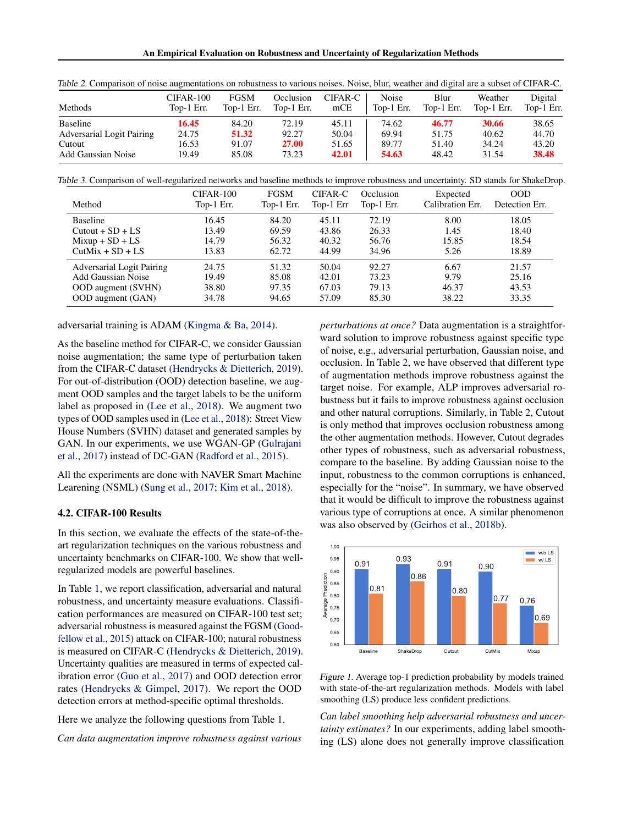An Empirical Evaluation on Robustness and Uncertainty of Regularization Methods

| Methods                          | CIFAR-100  | FGSM       | Occlusion    | CIFAR-C | <b>Noise</b> | Blur       | Weather    | Digital    |
|----------------------------------|------------|------------|--------------|---------|--------------|------------|------------|------------|
|                                  | Top-1 Err. | Top-1 Err. | Top-1 Err.   | mCE     | Top-1 Err.   | Top-1 Err. | Top-1 Err. | Top-1 Err. |
| <b>Baseline</b>                  | 16.45      | 84.20      | 72.19        | 45.11   | 74.62        | 46.77      | 30.66      | 38.65      |
| <b>Adversarial Logit Pairing</b> | 24.75      | 51.32      | 92.27        | 50.04   | 69.94        | 51.75      | 40.62      | 44.70      |
| Cutout                           | 16.53      | 91.07      | <b>27.00</b> | 51.65   | 89.77        | 51.40      | 34.24      | 43.20      |
| <b>Add Gaussian Noise</b>        | 19.49      | 85.08      | 73.23        | 42.01   | 54.63        | 48.42      | 31.54      | 38.48      |

<span id="page-3-0"></span>Table 2. Comparison of noise augmentations on robustness to various noises. Noise, blur, weather and digital are a subset of CIFAR-C.

Table 3. Comparison of well-regularized networks and baseline methods to improve robustness and uncertainty. SD stands for ShakeDrop.

|                                  | CIFAR-100  | <b>FGSM</b> | CIFAR-C   | Occlusion  | Expected         | 00D            |
|----------------------------------|------------|-------------|-----------|------------|------------------|----------------|
| Method                           | Top-1 Err. | Top-1 Err.  | Top-1 Err | Top-1 Err. | Calibration Err. | Detection Err. |
| <b>Baseline</b>                  | 16.45      | 84.20       | 45.11     | 72.19      | 8.00             | 18.05          |
| $Cutout + SD + LS$               | 13.49      | 69.59       | 43.86     | 26.33      | 1.45             | 18.40          |
| $Mixup + SD + LS$                | 14.79      | 56.32       | 40.32     | 56.76      | 15.85            | 18.54          |
| $CutMix + SD + LS$               | 13.83      | 62.72       | 44.99     | 34.96      | 5.26             | 18.89          |
| <b>Adversarial Logit Pairing</b> | 24.75      | 51.32       | 50.04     | 92.27      | 6.67             | 21.57          |
| <b>Add Gaussian Noise</b>        | 19.49      | 85.08       | 42.01     | 73.23      | 9.79             | 25.16          |
| <b>OOD</b> augment (SVHN)        | 38.80      | 97.35       | 67.03     | 79.13      | 46.37            | 43.53          |
| <b>OOD</b> augment (GAN)         | 34.78      | 94.65       | 57.09     | 85.30      | 38.22            | 33.35          |

adversarial training is ADAM [\(Kingma & Ba,](#page-6-0) [2014\)](#page-6-0).

As the baseline method for CIFAR-C, we consider Gaussian noise augmentation; the same type of perturbation taken from the CIFAR-C dataset [\(Hendrycks & Dietterich,](#page-5-0) [2019\)](#page-5-0). For out-of-distribution (OOD) detection baseline, we augment OOD samples and the target labels to be the uniform label as proposed in [\(Lee et al.,](#page-6-0) [2018\)](#page-6-0). We augment two types of OOD samples used in [\(Lee et al.,](#page-6-0) [2018\)](#page-6-0): Street View House Numbers (SVHN) dataset and generated samples by GAN. In our experiments, we use WGAN-GP [\(Gulrajani](#page-5-0) [et al.,](#page-5-0) [2017\)](#page-5-0) instead of DC-GAN [\(Radford et al.,](#page-6-0) [2015\)](#page-6-0).

All the experiments are done with NAVER Smart Machine Learening (NSML) [\(Sung et al.,](#page-6-0) [2017;](#page-6-0) [Kim et al.,](#page-5-0) [2018\)](#page-5-0).

#### 4.2. CIFAR-100 Results

In this section, we evaluate the effects of the state-of-theart regularization techniques on the various robustness and uncertainty benchmarks on CIFAR-100. We show that wellregularized models are powerful baselines.

In Table [1,](#page-2-0) we report classification, adversarial and natural robustness, and uncertainty measure evaluations. Classification performances are measured on CIFAR-100 test set; adversarial robustness is measured against the FGSM [\(Good](#page-5-0)[fellow et al.,](#page-5-0) [2015\)](#page-5-0) attack on CIFAR-100; natural robustness is measured on CIFAR-C [\(Hendrycks & Dietterich,](#page-5-0) [2019\)](#page-5-0). Uncertainty qualities are measured in terms of expected calibration error [\(Guo et al.,](#page-5-0) [2017\)](#page-5-0) and OOD detection error rates [\(Hendrycks & Gimpel,](#page-5-0) [2017\)](#page-5-0). We report the OOD detection errors at method-specific optimal thresholds.

Here we analyze the following questions from Table [1.](#page-2-0)

*Can data augmentation improve robustness against various*

*perturbations at once?* Data augmentation is a straightforward solution to improve robustness against specific type of noise, e.g., adversarial perturbation, Gaussian noise, and occlusion. In Table 2, we have observed that different type of augmentation methods improve robustness against the target noise. For example, ALP improves adversarial robustness but it fails to improve robustness against occlusion and other natural corruptions. Similarly, in Table 2, Cutout is only method that improves occlusion robustness among the other augmentation methods. However, Cutout degrades other types of robustness, such as adversarial robustness, compare to the baseline. By adding Gaussian noise to the input, robustness to the common corruptions is enhanced, especially for the "noise". In summary, we have observed that it would be difficult to improve the robustness against various type of corruptions at once. A similar phenomenon was also observed by [\(Geirhos et al.,](#page-5-0) [2018b\)](#page-5-0).



Figure 1. Average top-1 prediction probability by models trained with state-of-the-art regularization methods. Models with label smoothing (LS) produce less confident predictions.

*Can label smoothing help adversarial robustness and uncertainty estimates?* In our experiments, adding label smoothing (LS) alone does not generally improve classification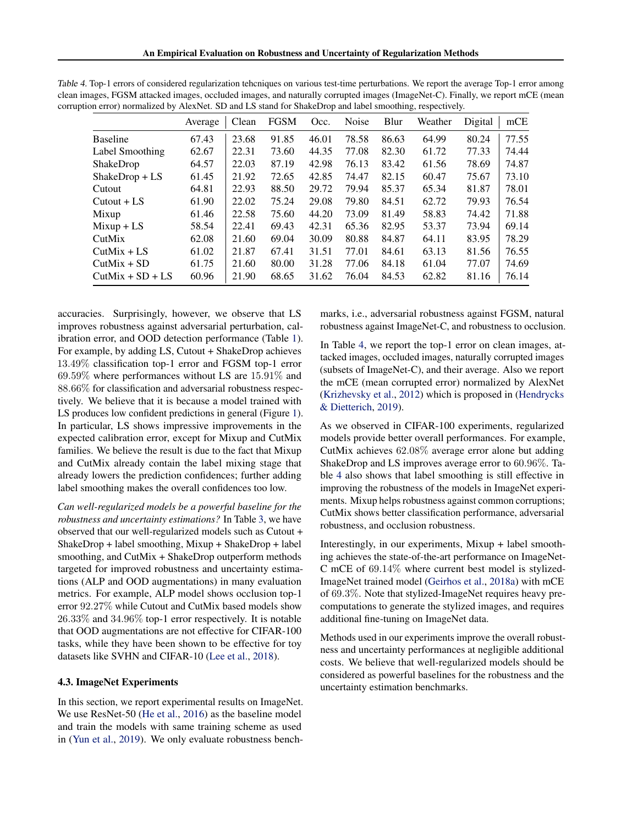|                    | Average | Clean | <b>FGSM</b> | Occ.  | <b>Noise</b> | Blur  | Weather | Digital | mCE   |
|--------------------|---------|-------|-------------|-------|--------------|-------|---------|---------|-------|
| <b>Baseline</b>    | 67.43   | 23.68 | 91.85       | 46.01 | 78.58        | 86.63 | 64.99   | 80.24   | 77.55 |
| Label Smoothing    | 62.67   | 22.31 | 73.60       | 44.35 | 77.08        | 82.30 | 61.72   | 77.33   | 74.44 |
| ShakeDrop          | 64.57   | 22.03 | 87.19       | 42.98 | 76.13        | 83.42 | 61.56   | 78.69   | 74.87 |
| $ShakeDrop + LS$   | 61.45   | 21.92 | 72.65       | 42.85 | 74.47        | 82.15 | 60.47   | 75.67   | 73.10 |
| Cutout             | 64.81   | 22.93 | 88.50       | 29.72 | 79.94        | 85.37 | 65.34   | 81.87   | 78.01 |
| $Cutout + LS$      | 61.90   | 22.02 | 75.24       | 29.08 | 79.80        | 84.51 | 62.72   | 79.93   | 76.54 |
| Mixup              | 61.46   | 22.58 | 75.60       | 44.20 | 73.09        | 81.49 | 58.83   | 74.42   | 71.88 |
| $Mixup + LS$       | 58.54   | 22.41 | 69.43       | 42.31 | 65.36        | 82.95 | 53.37   | 73.94   | 69.14 |
| CutMix             | 62.08   | 21.60 | 69.04       | 30.09 | 80.88        | 84.87 | 64.11   | 83.95   | 78.29 |
| $CutMix + LS$      | 61.02   | 21.87 | 67.41       | 31.51 | 77.01        | 84.61 | 63.13   | 81.56   | 76.55 |
| $CutMix + SD$      | 61.75   | 21.60 | 80.00       | 31.28 | 77.06        | 84.18 | 61.04   | 77.07   | 74.69 |
| $CutMix + SD + LS$ | 60.96   | 21.90 | 68.65       | 31.62 | 76.04        | 84.53 | 62.82   | 81.16   | 76.14 |

Table 4. Top-1 errors of considered regularization tehcniques on various test-time perturbations. We report the average Top-1 error among clean images, FGSM attacked images, occluded images, and naturally corrupted images (ImageNet-C). Finally, we report mCE (mean corruption error) normalized by AlexNet. SD and LS stand for ShakeDrop and label smoothing, respectively.

accuracies. Surprisingly, however, we observe that LS improves robustness against adversarial perturbation, calibration error, and OOD detection performance (Table [1\)](#page-2-0). For example, by adding LS, Cutout + ShakeDrop achieves 13.49% classification top-1 error and FGSM top-1 error 69.59% where performances without LS are 15.91% and 88.66% for classification and adversarial robustness respectively. We believe that it is because a model trained with LS produces low confident predictions in general (Figure [1\)](#page-3-0). In particular, LS shows impressive improvements in the expected calibration error, except for Mixup and CutMix families. We believe the result is due to the fact that Mixup and CutMix already contain the label mixing stage that already lowers the prediction confidences; further adding label smoothing makes the overall confidences too low.

*Can well-regularized models be a powerful baseline for the robustness and uncertainty estimations?* In Table [3,](#page-3-0) we have observed that our well-regularized models such as Cutout + ShakeDrop + label smoothing, Mixup + ShakeDrop + label smoothing, and CutMix + ShakeDrop outperform methods targeted for improved robustness and uncertainty estimations (ALP and OOD augmentations) in many evaluation metrics. For example, ALP model shows occlusion top-1 error 92.27% while Cutout and CutMix based models show 26.33% and 34.96% top-1 error respectively. It is notable that OOD augmentations are not effective for CIFAR-100 tasks, while they have been shown to be effective for toy datasets like SVHN and CIFAR-10 [\(Lee et al.,](#page-6-0) [2018\)](#page-6-0).

#### 4.3. ImageNet Experiments

In this section, we report experimental results on ImageNet. We use ResNet-50 [\(He et al.,](#page-5-0) [2016\)](#page-5-0) as the baseline model and train the models with same training scheme as used in [\(Yun et al.,](#page-6-0) [2019\)](#page-6-0). We only evaluate robustness benchmarks, i.e., adversarial robustness against FGSM, natural robustness against ImageNet-C, and robustness to occlusion.

In Table 4, we report the top-1 error on clean images, attacked images, occluded images, naturally corrupted images (subsets of ImageNet-C), and their average. Also we report the mCE (mean corrupted error) normalized by AlexNet [\(Krizhevsky et al.,](#page-6-0) [2012\)](#page-6-0) which is proposed in [\(Hendrycks](#page-5-0) [& Dietterich,](#page-5-0) [2019\)](#page-5-0).

As we observed in CIFAR-100 experiments, regularized models provide better overall performances. For example, CutMix achieves 62.08% average error alone but adding ShakeDrop and LS improves average error to 60.96%. Table 4 also shows that label smoothing is still effective in improving the robustness of the models in ImageNet experiments. Mixup helps robustness against common corruptions; CutMix shows better classification performance, adversarial robustness, and occlusion robustness.

Interestingly, in our experiments, Mixup + label smoothing achieves the state-of-the-art performance on ImageNet-C mCE of 69.14% where current best model is stylized-ImageNet trained model [\(Geirhos et al.,](#page-5-0) [2018a\)](#page-5-0) with mCE of 69.3%. Note that stylized-ImageNet requires heavy precomputations to generate the stylized images, and requires additional fine-tuning on ImageNet data.

Methods used in our experiments improve the overall robustness and uncertainty performances at negligible additional costs. We believe that well-regularized models should be considered as powerful baselines for the robustness and the uncertainty estimation benchmarks.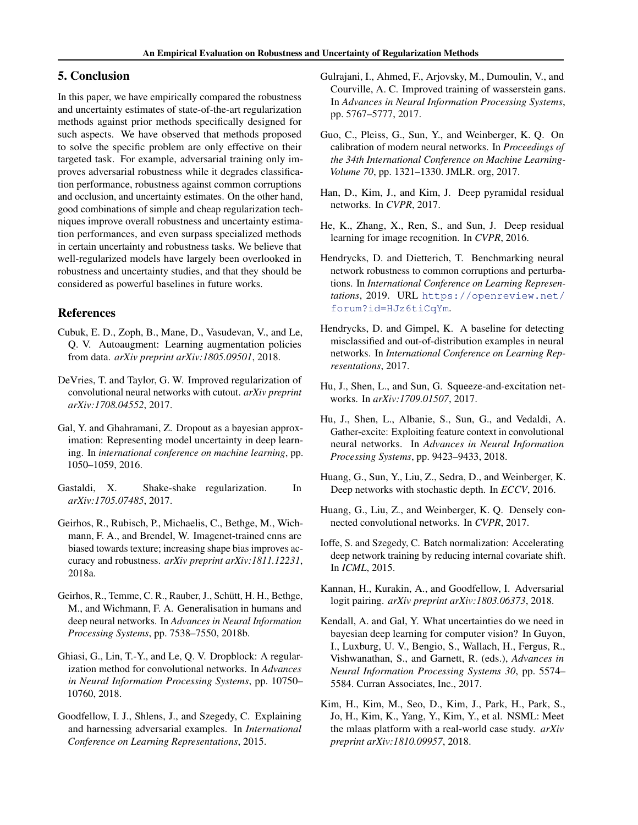## <span id="page-5-0"></span>5. Conclusion

In this paper, we have empirically compared the robustness and uncertainty estimates of state-of-the-art regularization methods against prior methods specifically designed for such aspects. We have observed that methods proposed to solve the specific problem are only effective on their targeted task. For example, adversarial training only improves adversarial robustness while it degrades classification performance, robustness against common corruptions and occlusion, and uncertainty estimates. On the other hand, good combinations of simple and cheap regularization techniques improve overall robustness and uncertainty estimation performances, and even surpass specialized methods in certain uncertainty and robustness tasks. We believe that well-regularized models have largely been overlooked in robustness and uncertainty studies, and that they should be considered as powerful baselines in future works.

## References

- Cubuk, E. D., Zoph, B., Mane, D., Vasudevan, V., and Le, Q. V. Autoaugment: Learning augmentation policies from data. *arXiv preprint arXiv:1805.09501*, 2018.
- DeVries, T. and Taylor, G. W. Improved regularization of convolutional neural networks with cutout. *arXiv preprint arXiv:1708.04552*, 2017.
- Gal, Y. and Ghahramani, Z. Dropout as a bayesian approximation: Representing model uncertainty in deep learning. In *international conference on machine learning*, pp. 1050–1059, 2016.
- Gastaldi, X. Shake-shake regularization. In *arXiv:1705.07485*, 2017.
- Geirhos, R., Rubisch, P., Michaelis, C., Bethge, M., Wichmann, F. A., and Brendel, W. Imagenet-trained cnns are biased towards texture; increasing shape bias improves accuracy and robustness. *arXiv preprint arXiv:1811.12231*, 2018a.
- Geirhos, R., Temme, C. R., Rauber, J., Schütt, H. H., Bethge, M., and Wichmann, F. A. Generalisation in humans and deep neural networks. In *Advances in Neural Information Processing Systems*, pp. 7538–7550, 2018b.
- Ghiasi, G., Lin, T.-Y., and Le, Q. V. Dropblock: A regularization method for convolutional networks. In *Advances in Neural Information Processing Systems*, pp. 10750– 10760, 2018.
- Goodfellow, I. J., Shlens, J., and Szegedy, C. Explaining and harnessing adversarial examples. In *International Conference on Learning Representations*, 2015.
- Gulrajani, I., Ahmed, F., Arjovsky, M., Dumoulin, V., and Courville, A. C. Improved training of wasserstein gans. In *Advances in Neural Information Processing Systems*, pp. 5767–5777, 2017.
- Guo, C., Pleiss, G., Sun, Y., and Weinberger, K. Q. On calibration of modern neural networks. In *Proceedings of the 34th International Conference on Machine Learning-Volume 70*, pp. 1321–1330. JMLR. org, 2017.
- Han, D., Kim, J., and Kim, J. Deep pyramidal residual networks. In *CVPR*, 2017.
- He, K., Zhang, X., Ren, S., and Sun, J. Deep residual learning for image recognition. In *CVPR*, 2016.
- Hendrycks, D. and Dietterich, T. Benchmarking neural network robustness to common corruptions and perturbations. In *International Conference on Learning Representations*, 2019. URL [https://openreview.net/](https://openreview.net/forum?id=HJz6tiCqYm) [forum?id=HJz6tiCqYm](https://openreview.net/forum?id=HJz6tiCqYm).
- Hendrycks, D. and Gimpel, K. A baseline for detecting misclassified and out-of-distribution examples in neural networks. In *International Conference on Learning Representations*, 2017.
- Hu, J., Shen, L., and Sun, G. Squeeze-and-excitation networks. In *arXiv:1709.01507*, 2017.
- Hu, J., Shen, L., Albanie, S., Sun, G., and Vedaldi, A. Gather-excite: Exploiting feature context in convolutional neural networks. In *Advances in Neural Information Processing Systems*, pp. 9423–9433, 2018.
- Huang, G., Sun, Y., Liu, Z., Sedra, D., and Weinberger, K. Deep networks with stochastic depth. In *ECCV*, 2016.
- Huang, G., Liu, Z., and Weinberger, K. Q. Densely connected convolutional networks. In *CVPR*, 2017.
- Ioffe, S. and Szegedy, C. Batch normalization: Accelerating deep network training by reducing internal covariate shift. In *ICML*, 2015.
- Kannan, H., Kurakin, A., and Goodfellow, I. Adversarial logit pairing. *arXiv preprint arXiv:1803.06373*, 2018.
- Kendall, A. and Gal, Y. What uncertainties do we need in bayesian deep learning for computer vision? In Guyon, I., Luxburg, U. V., Bengio, S., Wallach, H., Fergus, R., Vishwanathan, S., and Garnett, R. (eds.), *Advances in Neural Information Processing Systems 30*, pp. 5574– 5584. Curran Associates, Inc., 2017.
- Kim, H., Kim, M., Seo, D., Kim, J., Park, H., Park, S., Jo, H., Kim, K., Yang, Y., Kim, Y., et al. NSML: Meet the mlaas platform with a real-world case study. *arXiv preprint arXiv:1810.09957*, 2018.